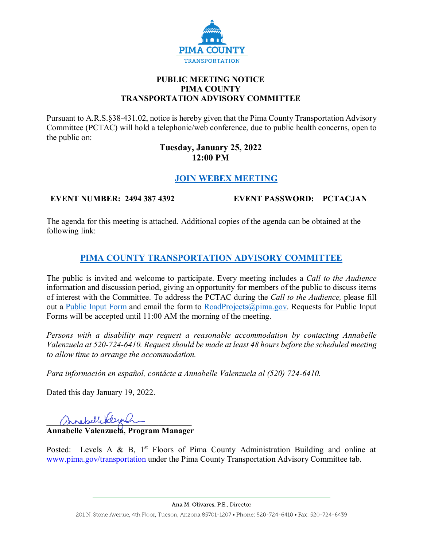

## **PUBLIC MEETING NOTICE PIMA COUNTY TRANSPORTATION ADVISORY COMMITTEE**

Pursuant to A.R.S.§38-431.02, notice is hereby given that the Pima County Transportation Advisory Committee (PCTAC) will hold a telephonic/web conference, due to public health concerns, open to the public on:

## **Tuesday, January 25, 2022 12:00 PM**

## **[JOIN WEBEX MEETING](https://pimacounty.webex.com/pimacounty/onstage/g.php?MTID=e08824b7946f18684258ab1ac94478ce6)**

**EVENT NUMBER: 2494 387 4392 EVENT PASSWORD: PCTACJAN**

The agenda for this meeting is attached. Additional copies of the agenda can be obtained at the following link:

# **[PIMA COUNTY TRANSPORTATION ADVISORY COMMITTEE](https://webcms.pima.gov/cms/One.aspx?portalId=169&pageId=355530)**

The public is invited and welcome to participate. Every meeting includes a *Call to the Audience*  information and discussion period, giving an opportunity for members of the public to discuss items of interest with the Committee. To address the PCTAC during the *Call to the Audience,* please fill out a [Public Input Form](https://webcms.pima.gov/UserFiles/Servers/Server_6/File/Government/Transportation/TransportationAdvisoryCommittee/PCTAC_Speaker_Card.pdf) and email the form to  $\text{RoadProjects}(\phi)$  pima.gov. Requests for Public Input Forms will be accepted until 11:00 AM the morning of the meeting.

*Persons with a disability may request a reasonable accommodation by contacting Annabelle Valenzuela at 520-724-6410. Request should be made at least 48 hours before the scheduled meeting to allow time to arrange the accommodation.*

*Para información en español, contácte a Annabelle Valenzuela al (520) 724-6410.*

Dated this day January 19, 2022.

annabelle delegation

**Annabelle Valenzuela, Program Manager** 

Posted: Levels A & B,  $1<sup>st</sup>$  Floors of Pima County Administration Building and online at [www.pima.gov/transportation](http://www.pima.gov/transportation) under the Pima County Transportation Advisory Committee tab.